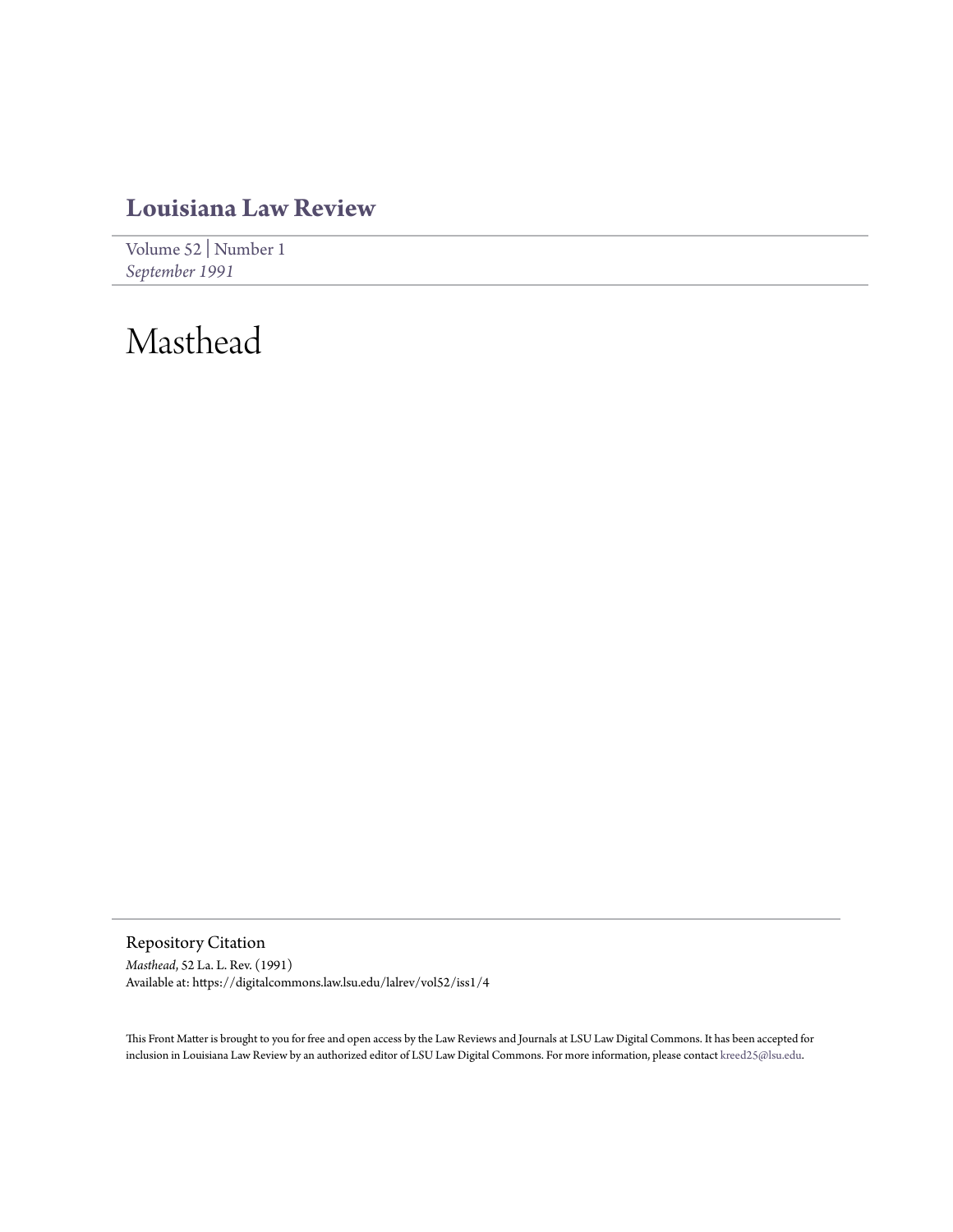### **[Louisiana Law Review](https://digitalcommons.law.lsu.edu/lalrev)**

[Volume 52](https://digitalcommons.law.lsu.edu/lalrev/vol52) | [Number 1](https://digitalcommons.law.lsu.edu/lalrev/vol52/iss1) *[September 1991](https://digitalcommons.law.lsu.edu/lalrev/vol52/iss1)*

## Masthead

Repository Citation *Masthead*, 52 La. L. Rev. (1991) Available at: https://digitalcommons.law.lsu.edu/lalrev/vol52/iss1/4

This Front Matter is brought to you for free and open access by the Law Reviews and Journals at LSU Law Digital Commons. It has been accepted for inclusion in Louisiana Law Review by an authorized editor of LSU Law Digital Commons. For more information, please contact [kreed25@lsu.edu](mailto:kreed25@lsu.edu).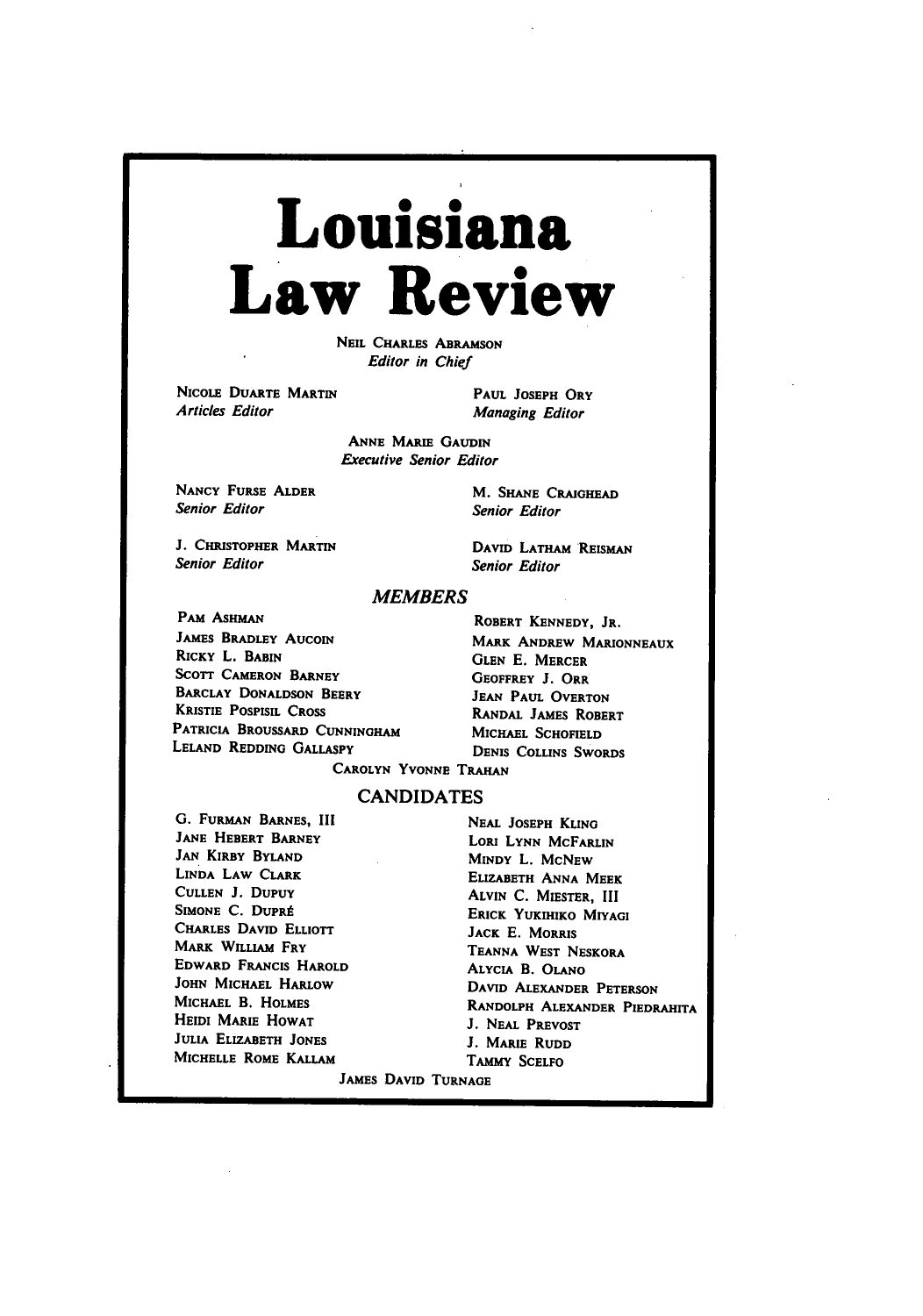# **Louisiana Law Review**

**NEIL** CHARLES ABRAMSON *Editor in Chief*

**NICOLE** DUARTE MARTIN *Articles Editor*

**PAUL JOSEPH** ORY Managing Editor

**ANNE** MARIE **GAUDIN** *Executive Senior Editor*

**NANCY FURSE ALDER** *Senior Editor*

**J. CHRISTOPHER** MARTIN *Senior Editor*

DAVID LATHAM **REISMAN** *Senior Editor*

M. **SHANE CRAIGHEAD** Senior *Editor*

#### *MEMBERS*

PAM ASHMAN JAMES BRADLEY AucoiN RICKY L. **BABIN SCOTT CAMERON** BARNEY BARCLAY **DONALDSON** BEERY KRISTIE **POSPISIL CROSS** PATRICIA BROUSSARD **CUNNINGHAM LELAND REDDINO** GALLASPY

ROBERT **KENNEDY,** JR. MARK ANDREW **MARIONNEAUX GLEN E.** MERCER GEOFFREY **J.** ORR **JEAN PAUL** OVERTON RANDAL JAMES ROBERT **MICHAEL SCHOFIELD DENIS COLLINS** SWORDS

CAROLYN **YVONNE TRAHAN**

#### **CANDIDATES**

**G.** FURMAN **BARNES,** III **NEAL JOSEPH** KLING **JANE HEBERT BARNEY LORI LYNN MCFARLIN JAN KIRBY BYLAND <b>MINDY L. MCNEW**<br> **LINDA LAW CLARK FIZARETH ANNA ME CULLEN J. DUPUY ALVIN C. MIESTER, III**<br>
SIMONE C. DUPRÉ FRICE VIETUES MILLS CHARLES DAVID ELLIOTT **JACK E.** MORRIS MARK WILLIAM FRY **TEANNA** WEST NESKORA EDWARD **FRANCIS** HAROLD ALYCIA **B. OLANO HEIDI MARIE HOWAT J. NEAL PREVOST JULIA** ELIZABETH **JONES J. MARIE** RUDD **MICHELLE ROME KALLAM TAMMY SCELFO** 

**LIZABETH ANNA MEEK ERICK YUKIHIKO MIYAGI JOHN MICHAEL HARLOW DAVID ALEXANDER PETERSON**<br>MICHAEL B. HOLMES RANDOLPH ALEXANDER PEDD RANDOLPH ALEXANDER PIEDRAHITA JAMES **DAVID TURNAGE**